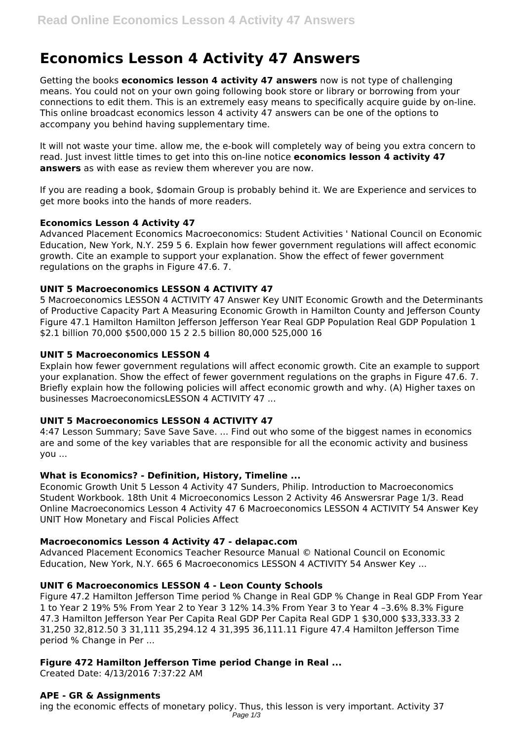# **Economics Lesson 4 Activity 47 Answers**

Getting the books **economics lesson 4 activity 47 answers** now is not type of challenging means. You could not on your own going following book store or library or borrowing from your connections to edit them. This is an extremely easy means to specifically acquire guide by on-line. This online broadcast economics lesson 4 activity 47 answers can be one of the options to accompany you behind having supplementary time.

It will not waste your time. allow me, the e-book will completely way of being you extra concern to read. Just invest little times to get into this on-line notice **economics lesson 4 activity 47 answers** as with ease as review them wherever you are now.

If you are reading a book, \$domain Group is probably behind it. We are Experience and services to get more books into the hands of more readers.

# **Economics Lesson 4 Activity 47**

Advanced Placement Economics Macroeconomics: Student Activities ' National Council on Economic Education, New York, N.Y. 259 5 6. Explain how fewer government regulations will affect economic growth. Cite an example to support your explanation. Show the effect of fewer government regulations on the graphs in Figure 47.6. 7.

# **UNIT 5 Macroeconomics LESSON 4 ACTIVITY 47**

5 Macroeconomics LESSON 4 ACTIVITY 47 Answer Key UNIT Economic Growth and the Determinants of Productive Capacity Part A Measuring Economic Growth in Hamilton County and Jefferson County Figure 47.1 Hamilton Hamilton Jefferson Jefferson Year Real GDP Population Real GDP Population 1 \$2.1 billion 70,000 \$500,000 15 2 2.5 billion 80,000 525,000 16

## **UNIT 5 Macroeconomics LESSON 4**

Explain how fewer government regulations will affect economic growth. Cite an example to support your explanation. Show the effect of fewer government regulations on the graphs in Figure 47.6. 7. Briefly explain how the following policies will affect economic growth and why. (A) Higher taxes on businesses MacroeconomicsLESSON 4 ACTIVITY 47 ...

#### **UNIT 5 Macroeconomics LESSON 4 ACTIVITY 47**

4:47 Lesson Summary; Save Save Save. ... Find out who some of the biggest names in economics are and some of the key variables that are responsible for all the economic activity and business you ...

# **What is Economics? - Definition, History, Timeline ...**

Economic Growth Unit 5 Lesson 4 Activity 47 Sunders, Philip. Introduction to Macroeconomics Student Workbook. 18th Unit 4 Microeconomics Lesson 2 Activity 46 Answersrar Page 1/3. Read Online Macroeconomics Lesson 4 Activity 47 6 Macroeconomics LESSON 4 ACTIVITY 54 Answer Key UNIT How Monetary and Fiscal Policies Affect

#### **Macroeconomics Lesson 4 Activity 47 - delapac.com**

Advanced Placement Economics Teacher Resource Manual © National Council on Economic Education, New York, N.Y. 665 6 Macroeconomics LESSON 4 ACTIVITY 54 Answer Key ...

# **UNIT 6 Macroeconomics LESSON 4 - Leon County Schools**

Figure 47.2 Hamilton Jefferson Time period % Change in Real GDP % Change in Real GDP From Year 1 to Year 2 19% 5% From Year 2 to Year 3 12% 14.3% From Year 3 to Year 4 –3.6% 8.3% Figure 47.3 Hamilton Jefferson Year Per Capita Real GDP Per Capita Real GDP 1 \$30,000 \$33,333.33 2 31,250 32,812.50 3 31,111 35,294.12 4 31,395 36,111.11 Figure 47.4 Hamilton Jefferson Time period % Change in Per ...

# **Figure 472 Hamilton Jefferson Time period Change in Real ...**

Created Date: 4/13/2016 7:37:22 AM

#### **APE - GR & Assignments**

ing the economic effects of monetary policy. Thus, this lesson is very important. Activity 37 Page 1/3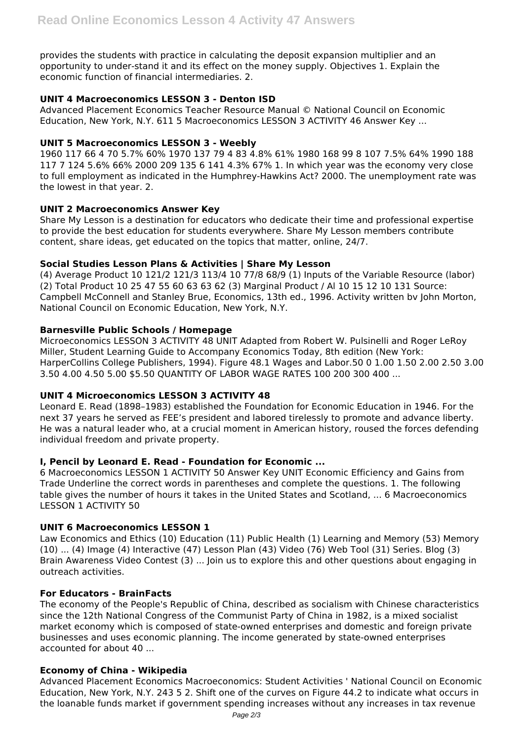provides the students with practice in calculating the deposit expansion multiplier and an opportunity to under-stand it and its effect on the money supply. Objectives 1. Explain the economic function of financial intermediaries. 2.

# **UNIT 4 Macroeconomics LESSON 3 - Denton ISD**

Advanced Placement Economics Teacher Resource Manual © National Council on Economic Education, New York, N.Y. 611 5 Macroeconomics LESSON 3 ACTIVITY 46 Answer Key ...

## **UNIT 5 Macroeconomics LESSON 3 - Weebly**

1960 117 66 4 70 5.7% 60% 1970 137 79 4 83 4.8% 61% 1980 168 99 8 107 7.5% 64% 1990 188 117 7 124 5.6% 66% 2000 209 135 6 141 4.3% 67% 1. In which year was the economy very close to full employment as indicated in the Humphrey-Hawkins Act? 2000. The unemployment rate was the lowest in that year. 2.

## **UNIT 2 Macroeconomics Answer Key**

Share My Lesson is a destination for educators who dedicate their time and professional expertise to provide the best education for students everywhere. Share My Lesson members contribute content, share ideas, get educated on the topics that matter, online, 24/7.

# **Social Studies Lesson Plans & Activities | Share My Lesson**

(4) Average Product 10 121/2 121/3 113/4 10 77/8 68/9 (1) Inputs of the Variable Resource (labor) (2) Total Product 10 25 47 55 60 63 63 62 (3) Marginal Product / Al 10 15 12 10 131 Source: Campbell McConnell and Stanley Brue, Economics, 13th ed., 1996. Activity written bv John Morton, National Council on Economic Education, New York, N.Y.

## **Barnesville Public Schools / Homepage**

Microeconomics LESSON 3 ACTIVITY 48 UNIT Adapted from Robert W. Pulsinelli and Roger LeRoy Miller, Student Learning Guide to Accompany Economics Today, 8th edition (New York: HarperCollins College Publishers, 1994). Figure 48.1 Wages and Labor.50 0 1.00 1.50 2.00 2.50 3.00 3.50 4.00 4.50 5.00 \$5.50 QUANTITY OF LABOR WAGE RATES 100 200 300 400 ...

# **UNIT 4 Microeconomics LESSON 3 ACTIVITY 48**

Leonard E. Read (1898–1983) established the Foundation for Economic Education in 1946. For the next 37 years he served as FEE's president and labored tirelessly to promote and advance liberty. He was a natural leader who, at a crucial moment in American history, roused the forces defending individual freedom and private property.

# **I, Pencil by Leonard E. Read - Foundation for Economic ...**

6 Macroeconomics LESSON 1 ACTIVITY 50 Answer Key UNIT Economic Efficiency and Gains from Trade Underline the correct words in parentheses and complete the questions. 1. The following table gives the number of hours it takes in the United States and Scotland, ... 6 Macroeconomics LESSON 1 ACTIVITY 50

#### **UNIT 6 Macroeconomics LESSON 1**

Law Economics and Ethics (10) Education (11) Public Health (1) Learning and Memory (53) Memory (10) ... (4) Image (4) Interactive (47) Lesson Plan (43) Video (76) Web Tool (31) Series. Blog (3) Brain Awareness Video Contest (3) ... Join us to explore this and other questions about engaging in outreach activities.

## **For Educators - BrainFacts**

The economy of the People's Republic of China, described as socialism with Chinese characteristics since the 12th National Congress of the Communist Party of China in 1982, is a mixed socialist market economy which is composed of state-owned enterprises and domestic and foreign private businesses and uses economic planning. The income generated by state-owned enterprises accounted for about 40 ...

#### **Economy of China - Wikipedia**

Advanced Placement Economics Macroeconomics: Student Activities ' National Council on Economic Education, New York, N.Y. 243 5 2. Shift one of the curves on Figure 44.2 to indicate what occurs in the loanable funds market if government spending increases without any increases in tax revenue